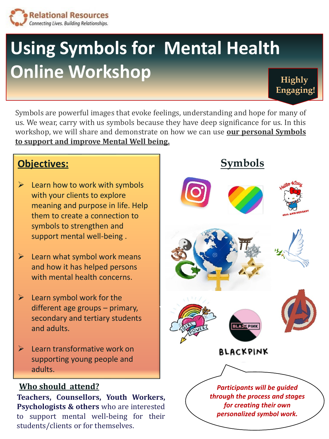

## **Using Symbols for Mental Health Online Workshop Highly**

Symbols are powerful images that evoke feelings, understanding and hope for many of us. We wear, carry with us symbols because they have deep significance for us. In this workshop, we will share and demonstrate on how we can use **our personal Symbols to support and improve Mental Well being.**

## **Objectives:**

- $\triangleright$  Learn how to work with symbols with your clients to explore meaning and purpose in life. Help them to create a connection to symbols to strengthen and support mental well-being .
- $\triangleright$  Learn what symbol work means and how it has helped persons with mental health concerns.
- ➢ Learn symbol work for the different age groups – primary, secondary and tertiary students and adults.
- $\blacktriangleright$  Learn transformative work on supporting young people and adults.

## **Who should attend?**

**Teachers, Counsellors, Youth Workers, Psychologists & others** who are interested to support mental well-being for their students/clients or for themselves.









**Engaging!**









*Participants will be guided through the process and stages for creating their own personalized symbol work.*